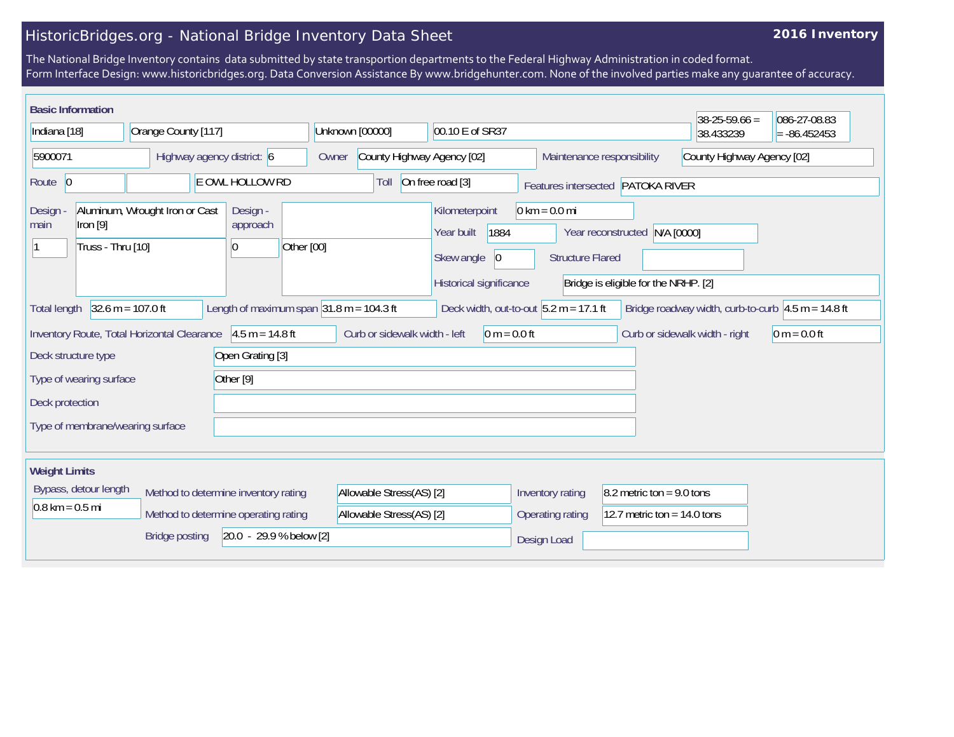## HistoricBridges.org - National Bridge Inventory Data Sheet

## **2016 Inventory**

The National Bridge Inventory contains data submitted by state transportion departments to the Federal Highway Administration in coded format. Form Interface Design: www.historicbridges.org. Data Conversion Assistance By www.bridgehunter.com. None of the involved parties make any guarantee of accuracy.

| <b>Basic Information</b>          |                                     |                                             |           |                                        |                                                              |                               |                                                                                                  |                                                            |                                                                       | $38-25-59.66 =$                                                        | 086-27-08.83   |
|-----------------------------------|-------------------------------------|---------------------------------------------|-----------|----------------------------------------|--------------------------------------------------------------|-------------------------------|--------------------------------------------------------------------------------------------------|------------------------------------------------------------|-----------------------------------------------------------------------|------------------------------------------------------------------------|----------------|
| Indiana [18]                      |                                     | Orange County [117]                         |           |                                        |                                                              | Unknown [00000]               | 00.10 E of SR37                                                                                  |                                                            |                                                                       | 38.433239                                                              | $= -86.452453$ |
| 5900071                           |                                     | Highway agency district: 6                  |           |                                        | Owner                                                        | County Highway Agency [02]    |                                                                                                  |                                                            | Maintenance responsibility                                            | County Highway Agency [02]                                             |                |
| Route 0                           |                                     |                                             |           | E OWL HOLLOW RD                        |                                                              | Toll                          | On free road [3]                                                                                 |                                                            | Features intersected PATOKA RIVER                                     |                                                                        |                |
| Design<br>main                    | $[1$ ron $[9]$<br>Truss - Thru [10] | Aluminum, Wrought Iron or Cast              |           | Design -<br>approach<br>$\overline{0}$ | Other [00]                                                   |                               | Kilometerpoint<br>1884<br>Year built<br>Skew angle<br>$\vert 0 \vert$<br>Historical significance | $0 \text{ km} = 0.0 \text{ mi}$<br><b>Structure Flared</b> | Year reconstructed N/A [0000]<br>Bridge is eligible for the NRHP. [2] |                                                                        |                |
| <b>Total length</b>               |                                     | $32.6 m = 107.0 ft$                         |           |                                        | Length of maximum span $ 31.8 \text{ m} = 104.3 \text{ ft} $ |                               |                                                                                                  | Deck width, out-to-out $5.2 m = 17.1 ft$                   |                                                                       | Bridge roadway width, curb-to-curb $ 4.5 \text{ m} = 14.8 \text{ ft} $ |                |
|                                   |                                     | Inventory Route, Total Horizontal Clearance |           | $4.5 m = 14.8 ft$                      |                                                              | Curb or sidewalk width - left | $0 m = 0.0 ft$                                                                                   |                                                            |                                                                       | Curb or sidewalk width - right                                         | $0 m = 0.0 ft$ |
| Deck structure type               |                                     |                                             |           | Open Grating [3]                       |                                                              |                               |                                                                                                  |                                                            |                                                                       |                                                                        |                |
| Type of wearing surface           |                                     |                                             | Other [9] |                                        |                                                              |                               |                                                                                                  |                                                            |                                                                       |                                                                        |                |
| Deck protection                   |                                     |                                             |           |                                        |                                                              |                               |                                                                                                  |                                                            |                                                                       |                                                                        |                |
|                                   |                                     | Type of membrane/wearing surface            |           |                                        |                                                              |                               |                                                                                                  |                                                            |                                                                       |                                                                        |                |
| <b>Weight Limits</b>              |                                     |                                             |           |                                        |                                                              |                               |                                                                                                  |                                                            |                                                                       |                                                                        |                |
|                                   | Bypass, detour length               |                                             |           | Method to determine inventory rating   |                                                              | Allowable Stress(AS) [2]      |                                                                                                  | Inventory rating                                           | $8.2$ metric ton = 9.0 tons                                           |                                                                        |                |
| $0.8 \text{ km} = 0.5 \text{ mi}$ |                                     |                                             |           | Method to determine operating rating   |                                                              | Allowable Stress(AS) [2]      |                                                                                                  | <b>Operating rating</b>                                    | 12.7 metric ton = $14.0$ tons                                         |                                                                        |                |
|                                   |                                     | <b>Bridge posting</b>                       |           | 20.0 - 29.9 % below [2]                |                                                              |                               |                                                                                                  | Design Load                                                |                                                                       |                                                                        |                |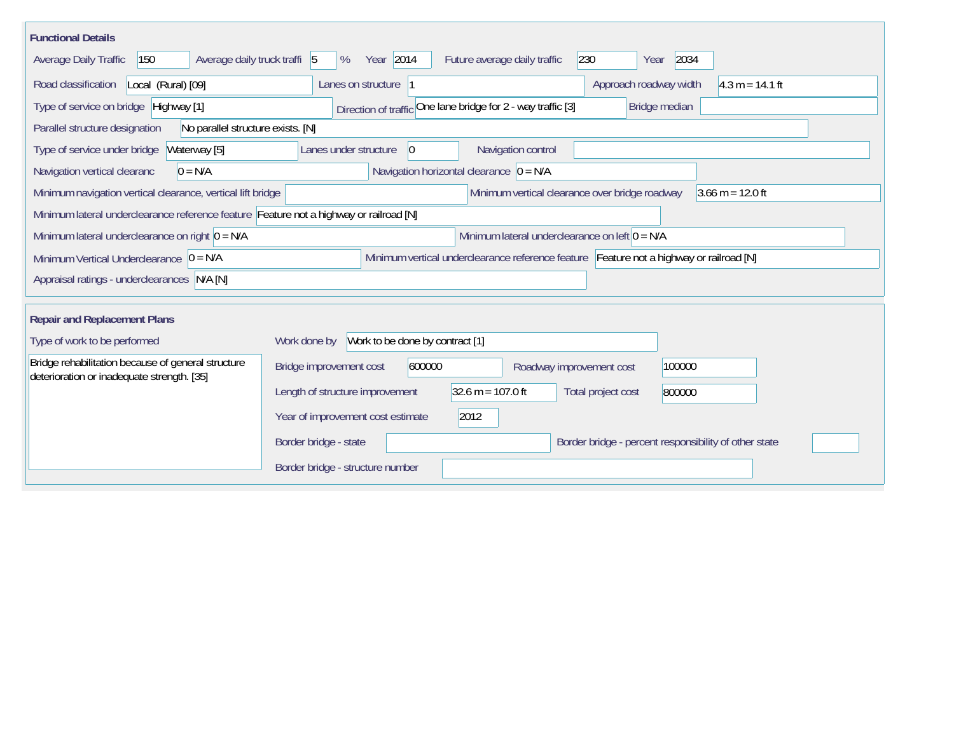| <b>Functional Details</b>                                                                                                                           |                                                                                        |  |  |  |  |  |  |  |  |  |
|-----------------------------------------------------------------------------------------------------------------------------------------------------|----------------------------------------------------------------------------------------|--|--|--|--|--|--|--|--|--|
| Average daily truck traffi 5<br>Average Daily Traffic<br>150                                                                                        | Year 2014<br>230<br>2034<br>%<br>Future average daily traffic<br>Year                  |  |  |  |  |  |  |  |  |  |
| Road classification<br>Local (Rural) [09]                                                                                                           | $4.3 m = 14.1 ft$<br>Lanes on structure<br>Approach roadway width                      |  |  |  |  |  |  |  |  |  |
| Type of service on bridge Highway [1]                                                                                                               | Direction of traffic One lane bridge for 2 - way traffic [3]<br>Bridge median          |  |  |  |  |  |  |  |  |  |
| Parallel structure designation<br>No parallel structure exists. [N]                                                                                 |                                                                                        |  |  |  |  |  |  |  |  |  |
| Type of service under bridge<br>Waterway [5]                                                                                                        | Navigation control<br>$ 0\rangle$<br>Lanes under structure                             |  |  |  |  |  |  |  |  |  |
| Navigation horizontal clearance $\overline{0} = N/A$<br>$0 = N/A$<br>Navigation vertical clearanc                                                   |                                                                                        |  |  |  |  |  |  |  |  |  |
| Minimum vertical clearance over bridge roadway<br>$3.66 \text{ m} = 12.0 \text{ ft}$<br>Minimum navigation vertical clearance, vertical lift bridge |                                                                                        |  |  |  |  |  |  |  |  |  |
| Minimum lateral underclearance reference feature Feature not a highway or railroad [N]                                                              |                                                                                        |  |  |  |  |  |  |  |  |  |
| Minimum lateral underclearance on left $0 = N/A$<br>Minimum lateral underclearance on right $0 = N/A$                                               |                                                                                        |  |  |  |  |  |  |  |  |  |
| Minimum vertical underclearance reference feature Feature not a highway or railroad [N]<br>Minimum Vertical Underclearance $ 0 = N/A$               |                                                                                        |  |  |  |  |  |  |  |  |  |
| Appraisal ratings - underclearances N/A [N]                                                                                                         |                                                                                        |  |  |  |  |  |  |  |  |  |
|                                                                                                                                                     |                                                                                        |  |  |  |  |  |  |  |  |  |
| <b>Repair and Replacement Plans</b>                                                                                                                 |                                                                                        |  |  |  |  |  |  |  |  |  |
| Type of work to be performed                                                                                                                        | Work to be done by contract [1]<br>Work done by                                        |  |  |  |  |  |  |  |  |  |
| Bridge rehabilitation because of general structure<br>deterioration or inadequate strength. [35]                                                    | 600000<br>100000<br>Bridge improvement cost<br>Roadway improvement cost                |  |  |  |  |  |  |  |  |  |
|                                                                                                                                                     | $32.6 m = 107.0 ft$<br>Length of structure improvement<br>Total project cost<br>800000 |  |  |  |  |  |  |  |  |  |
|                                                                                                                                                     | 2012<br>Year of improvement cost estimate                                              |  |  |  |  |  |  |  |  |  |
|                                                                                                                                                     | Border bridge - state<br>Border bridge - percent responsibility of other state         |  |  |  |  |  |  |  |  |  |
|                                                                                                                                                     | Border bridge - structure number                                                       |  |  |  |  |  |  |  |  |  |